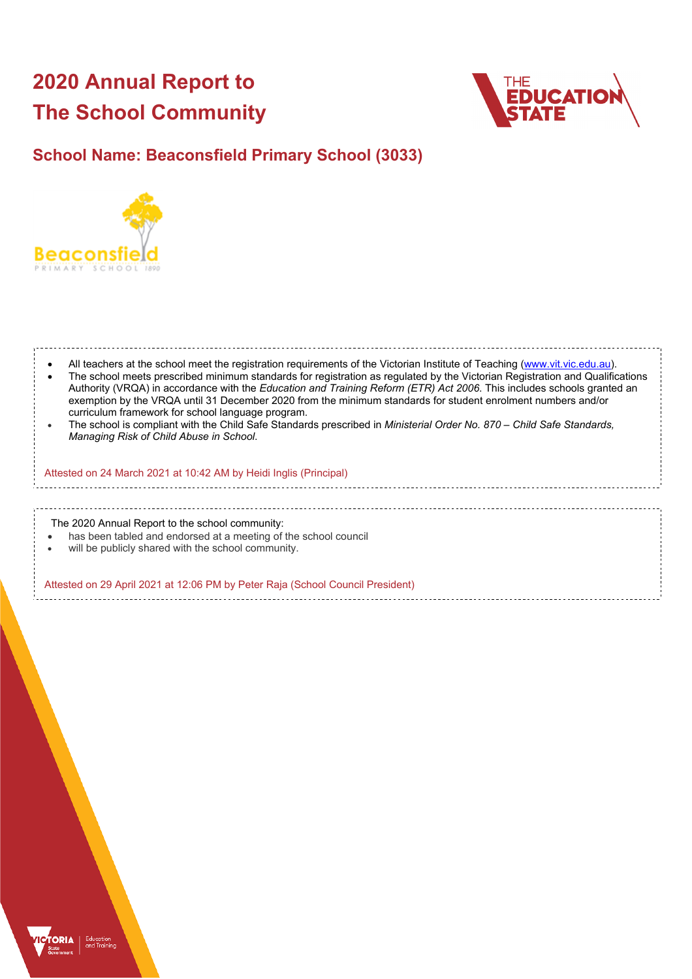# **2020 Annual Report to The School Community**



## **School Name: Beaconsfield Primary School (3033)**



| All teachers at the school meet the registration requirements of the Victorian Institute of Teaching (www.vit.vic.edu.au).<br>The school meets prescribed minimum standards for registration as regulated by the Victorian Registration and Qualifications<br>Authority (VRQA) in accordance with the Education and Training Reform (ETR) Act 2006. This includes schools granted an<br>exemption by the VRQA until 31 December 2020 from the minimum standards for student enrolment numbers and/or<br>curriculum framework for school language program.<br>The school is compliant with the Child Safe Standards prescribed in Ministerial Order No. 870 - Child Safe Standards,<br>Managing Risk of Child Abuse in School.<br>Attested on 24 March 2021 at 10:42 AM by Heidi Inglis (Principal) |
|----------------------------------------------------------------------------------------------------------------------------------------------------------------------------------------------------------------------------------------------------------------------------------------------------------------------------------------------------------------------------------------------------------------------------------------------------------------------------------------------------------------------------------------------------------------------------------------------------------------------------------------------------------------------------------------------------------------------------------------------------------------------------------------------------|
|                                                                                                                                                                                                                                                                                                                                                                                                                                                                                                                                                                                                                                                                                                                                                                                                    |
| The 2020 Annual Report to the school community:<br>has been tabled and endorsed at a meeting of the school council<br>will be publicly shared with the school community.                                                                                                                                                                                                                                                                                                                                                                                                                                                                                                                                                                                                                           |
| Attested on 29 April 2021 at 12:06 PM by Peter Raja (School Council President)                                                                                                                                                                                                                                                                                                                                                                                                                                                                                                                                                                                                                                                                                                                     |

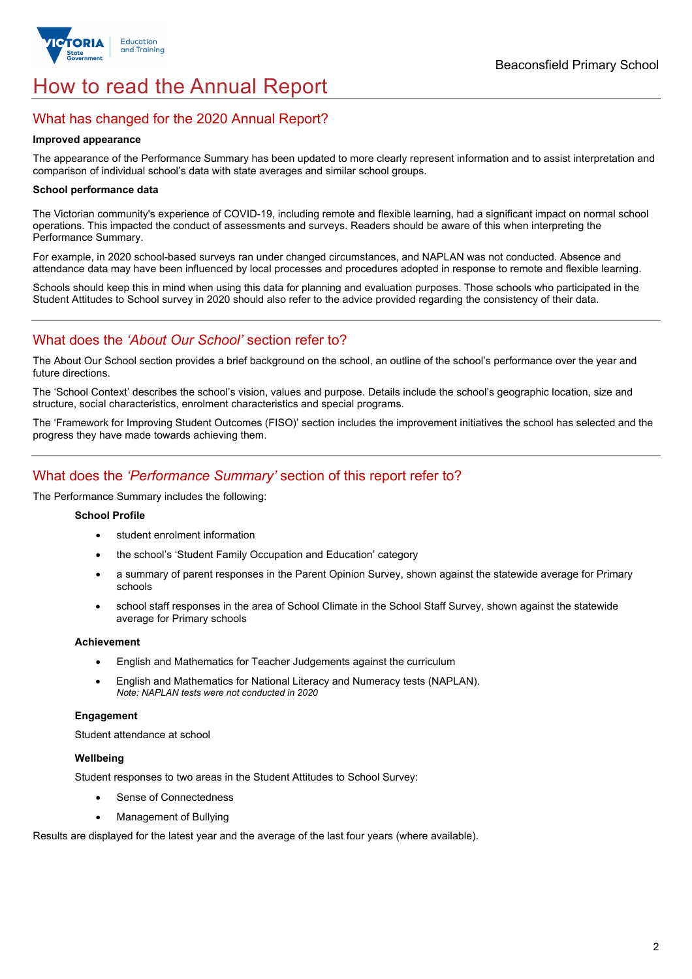

## How to read the Annual Report

### What has changed for the 2020 Annual Report?

#### **Improved appearance**

The appearance of the Performance Summary has been updated to more clearly represent information and to assist interpretation and comparison of individual school's data with state averages and similar school groups.

#### **School performance data**

The Victorian community's experience of COVID-19, including remote and flexible learning, had a significant impact on normal school operations. This impacted the conduct of assessments and surveys. Readers should be aware of this when interpreting the Performance Summary.

For example, in 2020 school-based surveys ran under changed circumstances, and NAPLAN was not conducted. Absence and attendance data may have been influenced by local processes and procedures adopted in response to remote and flexible learning.

Schools should keep this in mind when using this data for planning and evaluation purposes. Those schools who participated in the Student Attitudes to School survey in 2020 should also refer to the advice provided regarding the consistency of their data.

## What does the *'About Our School'* section refer to?

The About Our School section provides a brief background on the school, an outline of the school's performance over the year and future directions.

The 'School Context' describes the school's vision, values and purpose. Details include the school's geographic location, size and structure, social characteristics, enrolment characteristics and special programs.

The 'Framework for Improving Student Outcomes (FISO)' section includes the improvement initiatives the school has selected and the progress they have made towards achieving them.

## What does the *'Performance Summary'* section of this report refer to?

The Performance Summary includes the following:

#### **School Profile**

- student enrolment information
- the school's 'Student Family Occupation and Education' category
- a summary of parent responses in the Parent Opinion Survey, shown against the statewide average for Primary schools
- school staff responses in the area of School Climate in the School Staff Survey, shown against the statewide average for Primary schools

#### **Achievement**

- English and Mathematics for Teacher Judgements against the curriculum
- English and Mathematics for National Literacy and Numeracy tests (NAPLAN). *Note: NAPLAN tests were not conducted in 2020*

#### **Engagement**

Student attendance at school

#### **Wellbeing**

Student responses to two areas in the Student Attitudes to School Survey:

- Sense of Connectedness
- Management of Bullying

Results are displayed for the latest year and the average of the last four years (where available).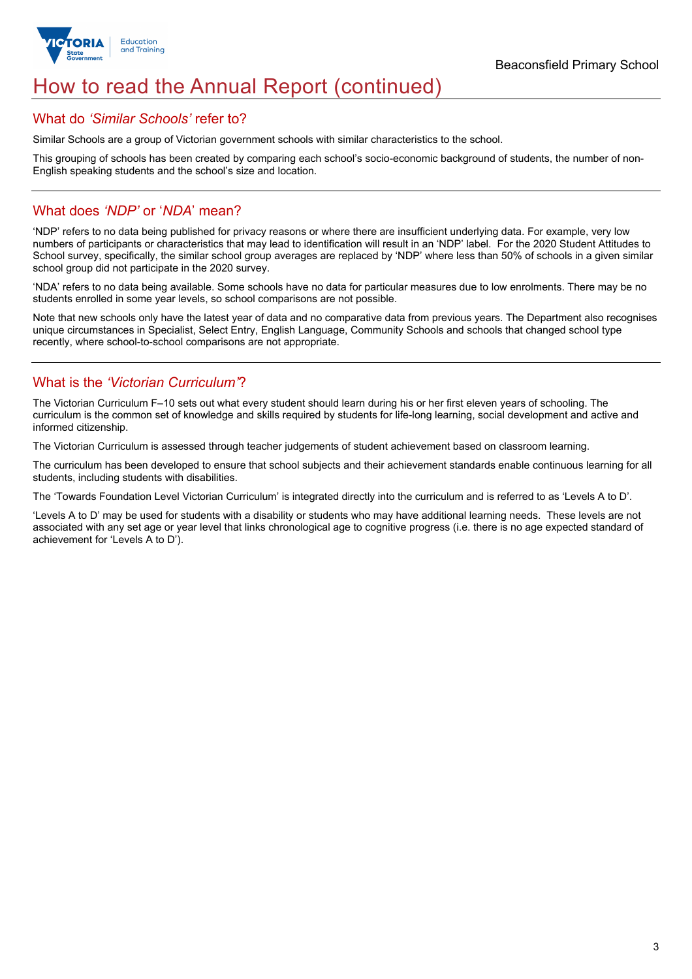

## How to read the Annual Report (continued)

#### What do *'Similar Schools'* refer to?

Similar Schools are a group of Victorian government schools with similar characteristics to the school.

This grouping of schools has been created by comparing each school's socio-economic background of students, the number of non-English speaking students and the school's size and location.

### What does *'NDP'* or '*NDA*' mean?

'NDP' refers to no data being published for privacy reasons or where there are insufficient underlying data. For example, very low numbers of participants or characteristics that may lead to identification will result in an 'NDP' label. For the 2020 Student Attitudes to School survey, specifically, the similar school group averages are replaced by 'NDP' where less than 50% of schools in a given similar school group did not participate in the 2020 survey.

'NDA' refers to no data being available. Some schools have no data for particular measures due to low enrolments. There may be no students enrolled in some year levels, so school comparisons are not possible.

Note that new schools only have the latest year of data and no comparative data from previous years. The Department also recognises unique circumstances in Specialist, Select Entry, English Language, Community Schools and schools that changed school type recently, where school-to-school comparisons are not appropriate.

## What is the *'Victorian Curriculum'*?

The Victorian Curriculum F–10 sets out what every student should learn during his or her first eleven years of schooling. The curriculum is the common set of knowledge and skills required by students for life-long learning, social development and active and informed citizenship.

The Victorian Curriculum is assessed through teacher judgements of student achievement based on classroom learning.

The curriculum has been developed to ensure that school subjects and their achievement standards enable continuous learning for all students, including students with disabilities.

The 'Towards Foundation Level Victorian Curriculum' is integrated directly into the curriculum and is referred to as 'Levels A to D'.

'Levels A to D' may be used for students with a disability or students who may have additional learning needs. These levels are not associated with any set age or year level that links chronological age to cognitive progress (i.e. there is no age expected standard of achievement for 'Levels A to D').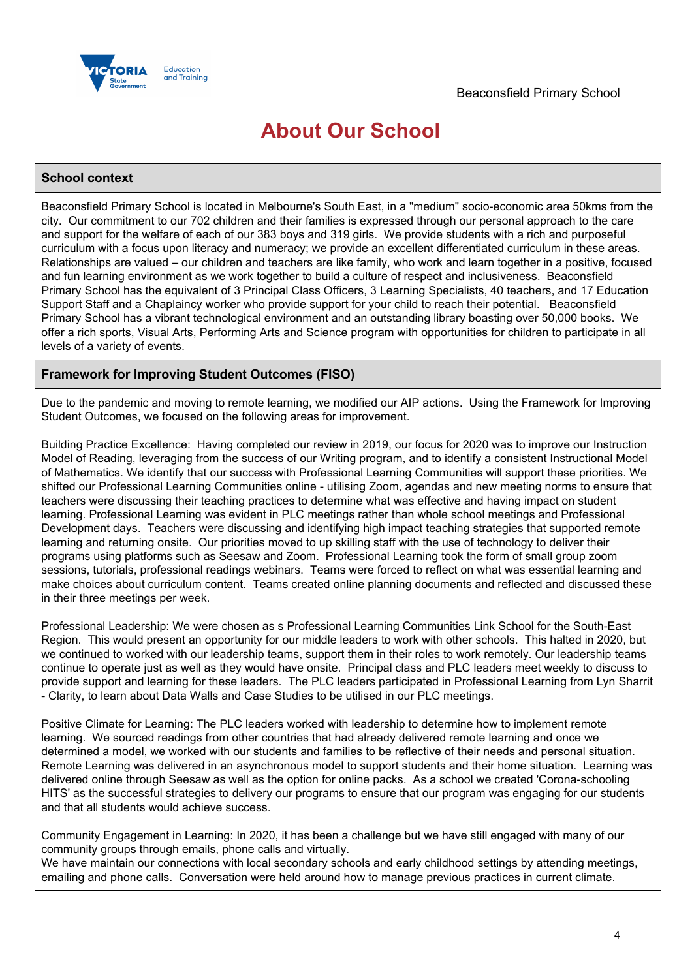

## **About Our School**

#### **School context**

Beaconsfield Primary School is located in Melbourne's South East, in a "medium" socio-economic area 50kms from the city. Our commitment to our 702 children and their families is expressed through our personal approach to the care and support for the welfare of each of our 383 boys and 319 girls. We provide students with a rich and purposeful curriculum with a focus upon literacy and numeracy; we provide an excellent differentiated curriculum in these areas. Relationships are valued – our children and teachers are like family, who work and learn together in a positive, focused and fun learning environment as we work together to build a culture of respect and inclusiveness. Beaconsfield Primary School has the equivalent of 3 Principal Class Officers, 3 Learning Specialists, 40 teachers, and 17 Education Support Staff and a Chaplaincy worker who provide support for your child to reach their potential. Beaconsfield Primary School has a vibrant technological environment and an outstanding library boasting over 50,000 books. We offer a rich sports, Visual Arts, Performing Arts and Science program with opportunities for children to participate in all levels of a variety of events.

#### **Framework for Improving Student Outcomes (FISO)**

Due to the pandemic and moving to remote learning, we modified our AIP actions. Using the Framework for Improving Student Outcomes, we focused on the following areas for improvement.

Building Practice Excellence: Having completed our review in 2019, our focus for 2020 was to improve our Instruction Model of Reading, leveraging from the success of our Writing program, and to identify a consistent Instructional Model of Mathematics. We identify that our success with Professional Learning Communities will support these priorities. We shifted our Professional Learning Communities online - utilising Zoom, agendas and new meeting norms to ensure that teachers were discussing their teaching practices to determine what was effective and having impact on student learning. Professional Learning was evident in PLC meetings rather than whole school meetings and Professional Development days. Teachers were discussing and identifying high impact teaching strategies that supported remote learning and returning onsite. Our priorities moved to up skilling staff with the use of technology to deliver their programs using platforms such as Seesaw and Zoom. Professional Learning took the form of small group zoom sessions, tutorials, professional readings webinars. Teams were forced to reflect on what was essential learning and make choices about curriculum content. Teams created online planning documents and reflected and discussed these in their three meetings per week.

Professional Leadership: We were chosen as s Professional Learning Communities Link School for the South-East Region. This would present an opportunity for our middle leaders to work with other schools. This halted in 2020, but we continued to worked with our leadership teams, support them in their roles to work remotely. Our leadership teams continue to operate just as well as they would have onsite. Principal class and PLC leaders meet weekly to discuss to provide support and learning for these leaders. The PLC leaders participated in Professional Learning from Lyn Sharrit - Clarity, to learn about Data Walls and Case Studies to be utilised in our PLC meetings.

Positive Climate for Learning: The PLC leaders worked with leadership to determine how to implement remote learning. We sourced readings from other countries that had already delivered remote learning and once we determined a model, we worked with our students and families to be reflective of their needs and personal situation. Remote Learning was delivered in an asynchronous model to support students and their home situation. Learning was delivered online through Seesaw as well as the option for online packs. As a school we created 'Corona-schooling HITS' as the successful strategies to delivery our programs to ensure that our program was engaging for our students and that all students would achieve success.

Community Engagement in Learning: In 2020, it has been a challenge but we have still engaged with many of our community groups through emails, phone calls and virtually.

We have maintain our connections with local secondary schools and early childhood settings by attending meetings, emailing and phone calls. Conversation were held around how to manage previous practices in current climate.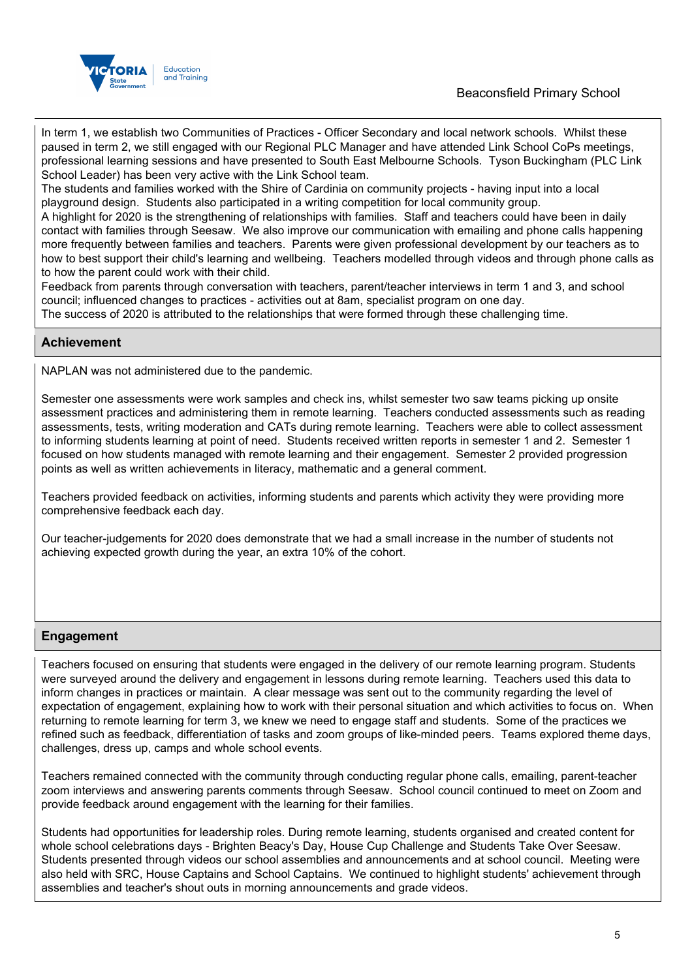### Beaconsfield Primary School



In term 1, we establish two Communities of Practices - Officer Secondary and local network schools. Whilst these paused in term 2, we still engaged with our Regional PLC Manager and have attended Link School CoPs meetings, professional learning sessions and have presented to South East Melbourne Schools. Tyson Buckingham (PLC Link School Leader) has been very active with the Link School team.

The students and families worked with the Shire of Cardinia on community projects - having input into a local playground design. Students also participated in a writing competition for local community group.

A highlight for 2020 is the strengthening of relationships with families. Staff and teachers could have been in daily contact with families through Seesaw. We also improve our communication with emailing and phone calls happening more frequently between families and teachers. Parents were given professional development by our teachers as to how to best support their child's learning and wellbeing. Teachers modelled through videos and through phone calls as to how the parent could work with their child.

Feedback from parents through conversation with teachers, parent/teacher interviews in term 1 and 3, and school council; influenced changes to practices - activities out at 8am, specialist program on one day. The success of 2020 is attributed to the relationships that were formed through these challenging time.

#### **Achievement**

NAPLAN was not administered due to the pandemic.

Semester one assessments were work samples and check ins, whilst semester two saw teams picking up onsite assessment practices and administering them in remote learning. Teachers conducted assessments such as reading assessments, tests, writing moderation and CATs during remote learning. Teachers were able to collect assessment to informing students learning at point of need. Students received written reports in semester 1 and 2. Semester 1 focused on how students managed with remote learning and their engagement. Semester 2 provided progression points as well as written achievements in literacy, mathematic and a general comment.

Teachers provided feedback on activities, informing students and parents which activity they were providing more comprehensive feedback each day.

Our teacher-judgements for 2020 does demonstrate that we had a small increase in the number of students not achieving expected growth during the year, an extra 10% of the cohort.

#### **Engagement**

Teachers focused on ensuring that students were engaged in the delivery of our remote learning program. Students were surveyed around the delivery and engagement in lessons during remote learning. Teachers used this data to inform changes in practices or maintain. A clear message was sent out to the community regarding the level of expectation of engagement, explaining how to work with their personal situation and which activities to focus on. When returning to remote learning for term 3, we knew we need to engage staff and students. Some of the practices we refined such as feedback, differentiation of tasks and zoom groups of like-minded peers. Teams explored theme days, challenges, dress up, camps and whole school events.

Teachers remained connected with the community through conducting regular phone calls, emailing, parent-teacher zoom interviews and answering parents comments through Seesaw. School council continued to meet on Zoom and provide feedback around engagement with the learning for their families.

Students had opportunities for leadership roles. During remote learning, students organised and created content for whole school celebrations days - Brighten Beacy's Day, House Cup Challenge and Students Take Over Seesaw. Students presented through videos our school assemblies and announcements and at school council. Meeting were also held with SRC, House Captains and School Captains. We continued to highlight students' achievement through assemblies and teacher's shout outs in morning announcements and grade videos.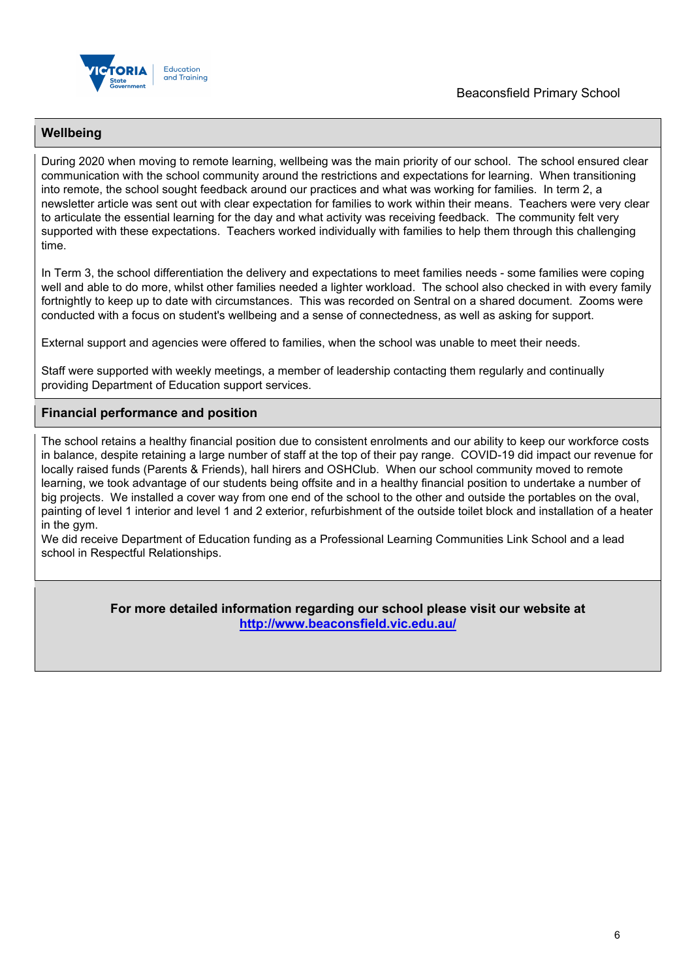

#### **Wellbeing**

During 2020 when moving to remote learning, wellbeing was the main priority of our school. The school ensured clear communication with the school community around the restrictions and expectations for learning. When transitioning into remote, the school sought feedback around our practices and what was working for families. In term 2, a newsletter article was sent out with clear expectation for families to work within their means. Teachers were very clear to articulate the essential learning for the day and what activity was receiving feedback. The community felt very supported with these expectations. Teachers worked individually with families to help them through this challenging time.

In Term 3, the school differentiation the delivery and expectations to meet families needs - some families were coping well and able to do more, whilst other families needed a lighter workload. The school also checked in with every family fortnightly to keep up to date with circumstances. This was recorded on Sentral on a shared document. Zooms were conducted with a focus on student's wellbeing and a sense of connectedness, as well as asking for support.

External support and agencies were offered to families, when the school was unable to meet their needs.

Staff were supported with weekly meetings, a member of leadership contacting them regularly and continually providing Department of Education support services.

#### **Financial performance and position**

The school retains a healthy financial position due to consistent enrolments and our ability to keep our workforce costs in balance, despite retaining a large number of staff at the top of their pay range. COVID-19 did impact our revenue for locally raised funds (Parents & Friends), hall hirers and OSHClub. When our school community moved to remote learning, we took advantage of our students being offsite and in a healthy financial position to undertake a number of big projects. We installed a cover way from one end of the school to the other and outside the portables on the oval, painting of level 1 interior and level 1 and 2 exterior, refurbishment of the outside toilet block and installation of a heater in the gym.

We did receive Department of Education funding as a Professional Learning Communities Link School and a lead school in Respectful Relationships.

> **For more detailed information regarding our school please visit our website at http://www.beaconsfield.vic.edu.au/**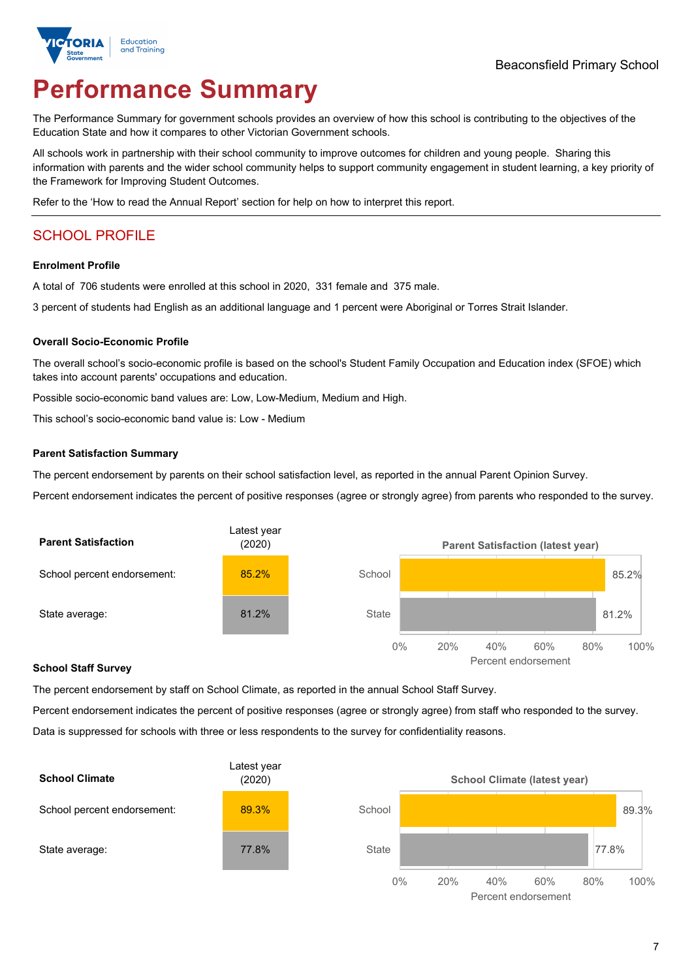

# **Performance Summary**

The Performance Summary for government schools provides an overview of how this school is contributing to the objectives of the Education State and how it compares to other Victorian Government schools.

All schools work in partnership with their school community to improve outcomes for children and young people. Sharing this information with parents and the wider school community helps to support community engagement in student learning, a key priority of the Framework for Improving Student Outcomes.

Refer to the 'How to read the Annual Report' section for help on how to interpret this report.

## SCHOOL PROFILE

#### **Enrolment Profile**

A total of 706 students were enrolled at this school in 2020, 331 female and 375 male.

3 percent of students had English as an additional language and 1 percent were Aboriginal or Torres Strait Islander.

#### **Overall Socio-Economic Profile**

The overall school's socio-economic profile is based on the school's Student Family Occupation and Education index (SFOE) which takes into account parents' occupations and education.

Possible socio-economic band values are: Low, Low-Medium, Medium and High.

This school's socio-economic band value is: Low - Medium

#### **Parent Satisfaction Summary**

The percent endorsement by parents on their school satisfaction level, as reported in the annual Parent Opinion Survey.

Percent endorsement indicates the percent of positive responses (agree or strongly agree) from parents who responded to the survey.



#### **School Staff Survey**

The percent endorsement by staff on School Climate, as reported in the annual School Staff Survey.

Percent endorsement indicates the percent of positive responses (agree or strongly agree) from staff who responded to the survey. Data is suppressed for schools with three or less respondents to the survey for confidentiality reasons.



Percent endorsement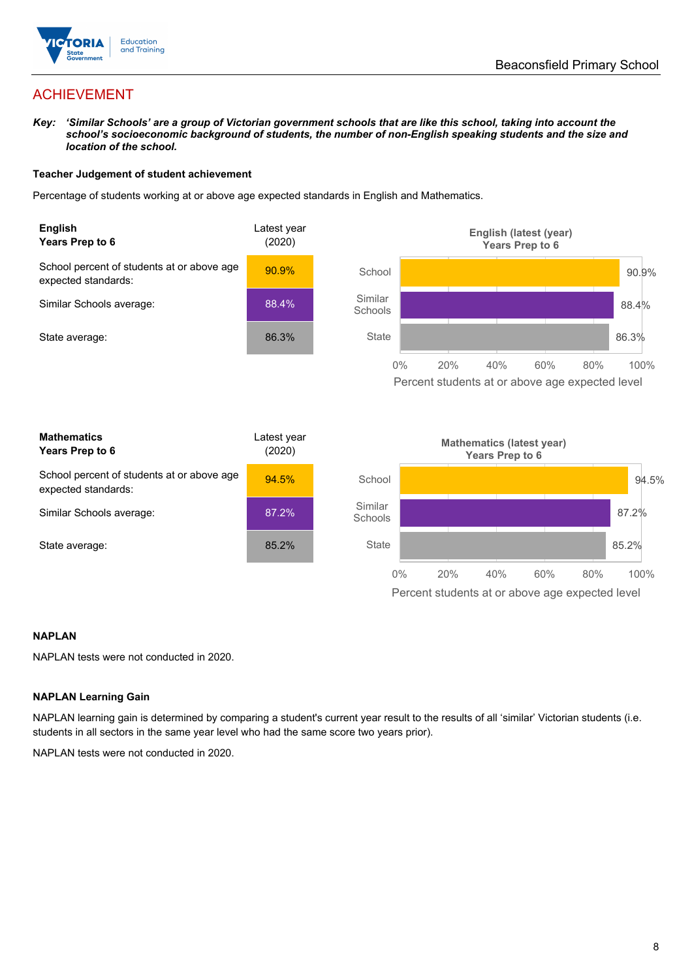

## ACHIEVEMENT

*Key: 'Similar Schools' are a group of Victorian government schools that are like this school, taking into account the*  school's socioeconomic background of students, the number of non-English speaking students and the size and *location of the school.*

#### **Teacher Judgement of student achievement**

Percentage of students working at or above age expected standards in English and Mathematics.



#### **NAPLAN**

NAPLAN tests were not conducted in 2020.

#### **NAPLAN Learning Gain**

NAPLAN learning gain is determined by comparing a student's current year result to the results of all 'similar' Victorian students (i.e. students in all sectors in the same year level who had the same score two years prior).

NAPLAN tests were not conducted in 2020.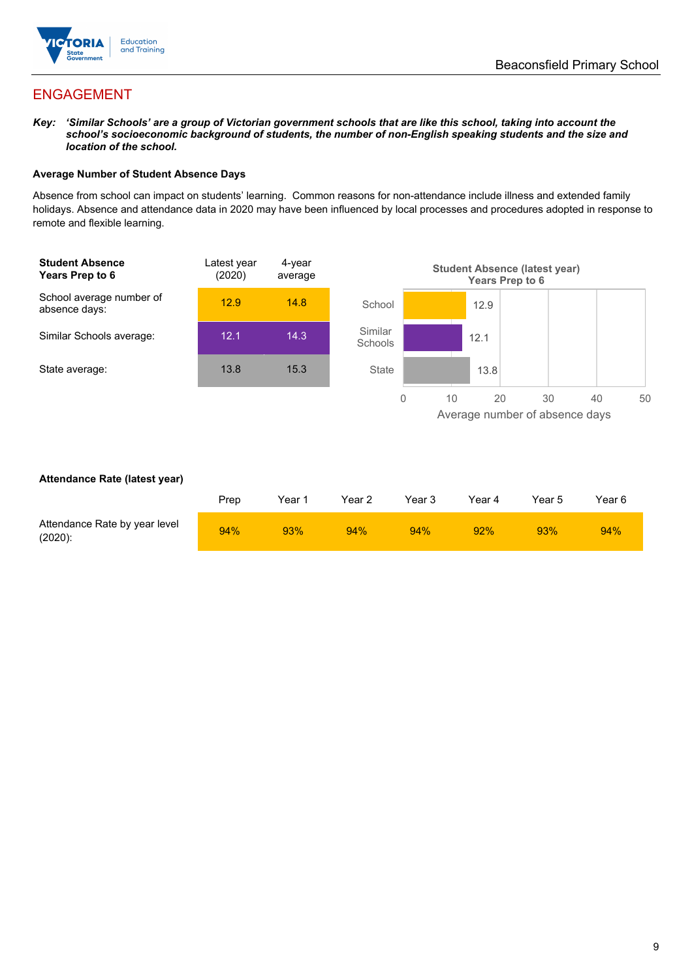

## ENGAGEMENT

*Key: 'Similar Schools' are a group of Victorian government schools that are like this school, taking into account the*  school's socioeconomic background of students, the number of non-English speaking students and the size and *location of the school.*

#### **Average Number of Student Absence Days**

Absence from school can impact on students' learning. Common reasons for non-attendance include illness and extended family holidays. Absence and attendance data in 2020 may have been influenced by local processes and procedures adopted in response to remote and flexible learning.



#### **Attendance Rate (latest year)**

|                                             | Prep | Year 1 | Year 2 | Year 3 | Year 4 | Year 5 | Year 6 |
|---------------------------------------------|------|--------|--------|--------|--------|--------|--------|
| Attendance Rate by year level<br>$(2020)$ : | 94%  | 93%    | 94%    | 94%    | 92%    | 93%    | 94%    |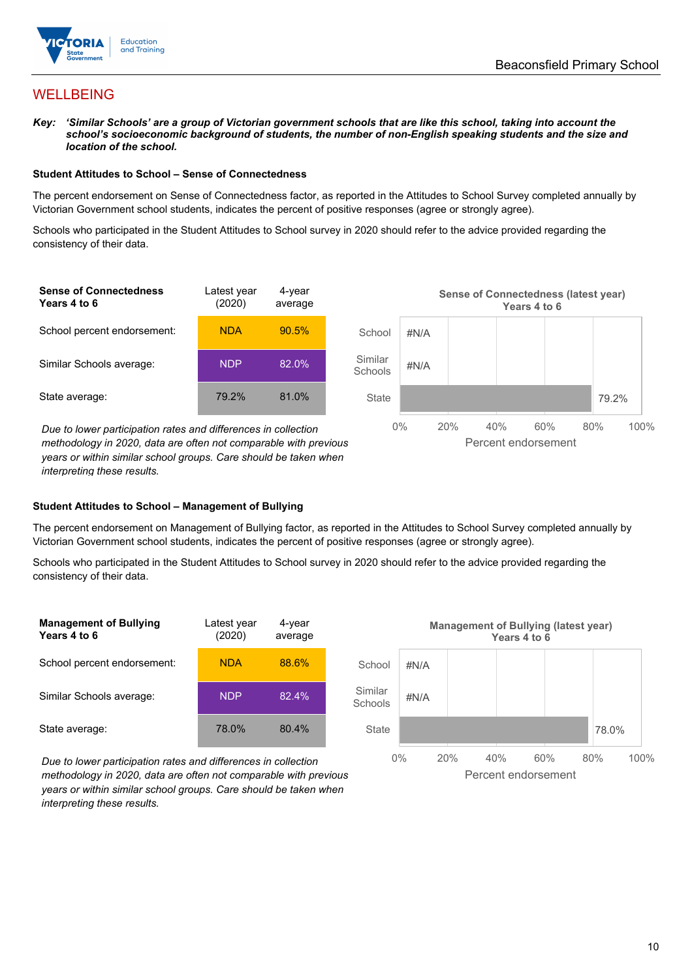

## **WELLBEING**

*Key: 'Similar Schools' are a group of Victorian government schools that are like this school, taking into account the*  school's socioeconomic background of students, the number of non-English speaking students and the size and *location of the school.*

#### **Student Attitudes to School – Sense of Connectedness**

The percent endorsement on Sense of Connectedness factor, as reported in the Attitudes to School Survey completed annually by Victorian Government school students, indicates the percent of positive responses (agree or strongly agree).

Schools who participated in the Student Attitudes to School survey in 2020 should refer to the advice provided regarding the consistency of their data.



*years or within similar school groups. Care should be taken when interpreting these results.*

#### **Student Attitudes to School – Management of Bullying**

The percent endorsement on Management of Bullying factor, as reported in the Attitudes to School Survey completed annually by Victorian Government school students, indicates the percent of positive responses (agree or strongly agree).

Schools who participated in the Student Attitudes to School survey in 2020 should refer to the advice provided regarding the consistency of their data.



*Due to lower participation rates and differences in collection methodology in 2020, data are often not comparable with previous years or within similar school groups. Care should be taken when interpreting these results.*

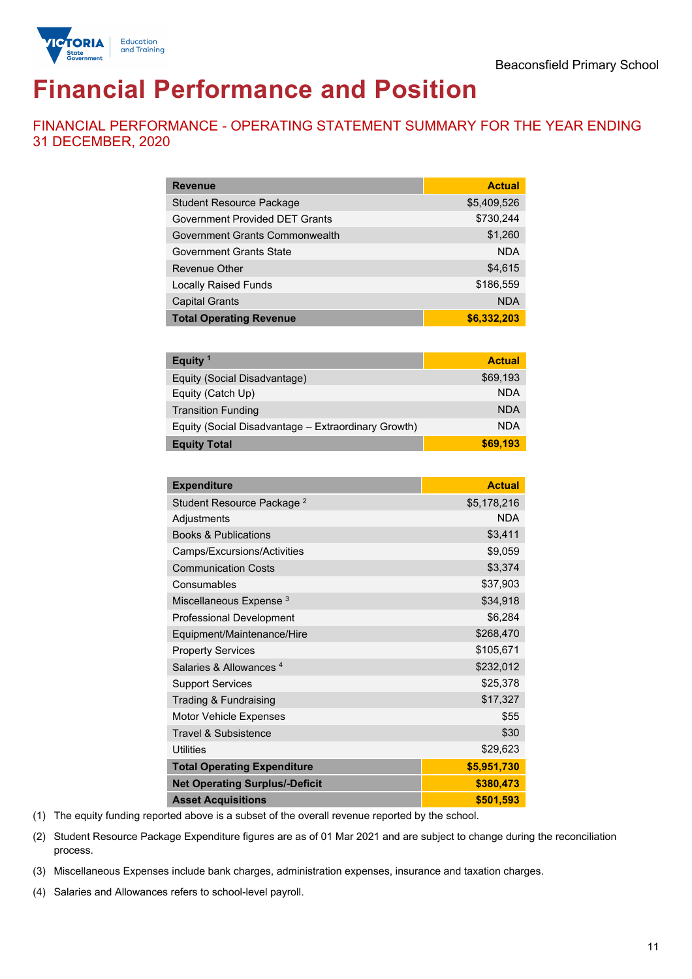

# **Financial Performance and Position**

FINANCIAL PERFORMANCE - OPERATING STATEMENT SUMMARY FOR THE YEAR ENDING 31 DECEMBER, 2020

| <b>Revenue</b>                  | <b>Actual</b> |
|---------------------------------|---------------|
| <b>Student Resource Package</b> | \$5,409,526   |
| Government Provided DET Grants  | \$730,244     |
| Government Grants Commonwealth  | \$1,260       |
| Government Grants State         | <b>NDA</b>    |
| <b>Revenue Other</b>            | \$4,615       |
| <b>Locally Raised Funds</b>     | \$186,559     |
| <b>Capital Grants</b>           | <b>NDA</b>    |
| <b>Total Operating Revenue</b>  | \$6,332,203   |

| Equity <sup>1</sup>                                 | <b>Actual</b> |
|-----------------------------------------------------|---------------|
| Equity (Social Disadvantage)                        | \$69,193      |
| Equity (Catch Up)                                   | <b>NDA</b>    |
| <b>Transition Funding</b>                           | <b>NDA</b>    |
| Equity (Social Disadvantage - Extraordinary Growth) | <b>NDA</b>    |
| <b>Equity Total</b>                                 | \$69.193      |

| <b>Expenditure</b>                    | <b>Actual</b> |
|---------------------------------------|---------------|
| Student Resource Package <sup>2</sup> | \$5,178,216   |
| Adjustments                           | <b>NDA</b>    |
| <b>Books &amp; Publications</b>       | \$3,411       |
| Camps/Excursions/Activities           | \$9,059       |
| <b>Communication Costs</b>            | \$3,374       |
| Consumables                           | \$37,903      |
| Miscellaneous Expense <sup>3</sup>    | \$34,918      |
| <b>Professional Development</b>       | \$6,284       |
| Equipment/Maintenance/Hire            | \$268,470     |
| <b>Property Services</b>              | \$105,671     |
| Salaries & Allowances <sup>4</sup>    | \$232,012     |
| <b>Support Services</b>               | \$25,378      |
| Trading & Fundraising                 | \$17,327      |
| Motor Vehicle Expenses                | \$55          |
| Travel & Subsistence                  | \$30          |
| <b>Utilities</b>                      | \$29,623      |
| <b>Total Operating Expenditure</b>    | \$5,951,730   |
| <b>Net Operating Surplus/-Deficit</b> | \$380,473     |
| <b>Asset Acquisitions</b>             | \$501,593     |

(1) The equity funding reported above is a subset of the overall revenue reported by the school.

(2) Student Resource Package Expenditure figures are as of 01 Mar 2021 and are subject to change during the reconciliation process.

(3) Miscellaneous Expenses include bank charges, administration expenses, insurance and taxation charges.

(4) Salaries and Allowances refers to school-level payroll.